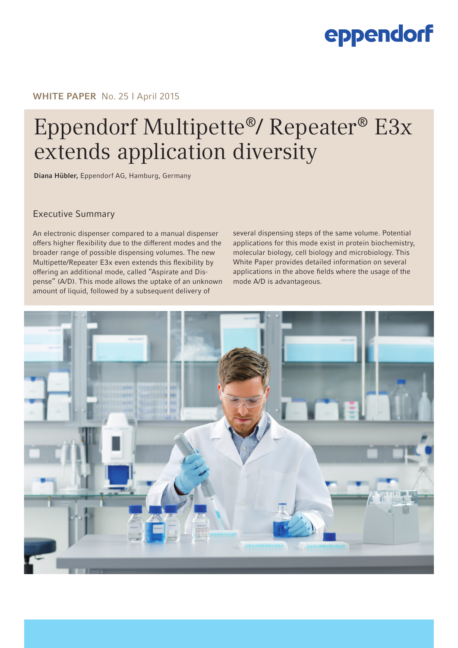# eppendorf

## WHITE PAPER No. 25 | April 2015

# Eppendorf Multipette®/ Repeater® E3x extends application diversity

Diana Hübler, Eppendorf AG, Hamburg, Germany

Executive Summary

An electronic dispenser compared to a manual dispenser offers higher flexibility due to the different modes and the broader range of possible dispensing volumes. The new Multipette/Repeater E3x even extends this flexibility by offering an additional mode, called "Aspirate and Dispense" (A/D). This mode allows the uptake of an unknown amount of liquid, followed by a subsequent delivery of

several dispensing steps of the same volume. Potential applications for this mode exist in protein biochemistry, molecular biology, cell biology and microbiology. This White Paper provides detailed information on several applications in the above fields where the usage of the mode A/D is advantageous.

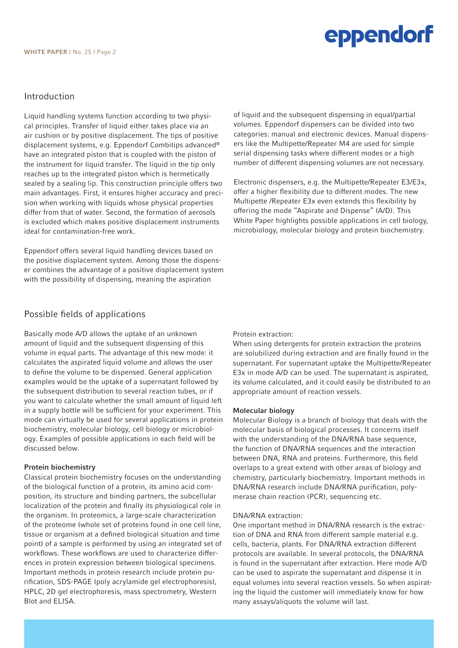## Introduction

Liquid handling systems function according to two physical principles. Transfer of liquid either takes place via an air cushion or by positive displacement. The tips of positive displacement systems, e.g. Eppendorf Combitips advanced® have an integrated piston that is coupled with the piston of the instrument for liquid transfer. The liquid in the tip only reaches up to the integrated piston which is hermetically sealed by a sealing lip. This construction principle offers two main advantages. First, it ensures higher accuracy and precision when working with liquids whose physical properties differ from that of water. Second, the formation of aerosols is excluded which makes positive displacement instruments ideal for contamination-free work.

Eppendorf offers several liquid handling devices based on the positive displacement system. Among those the dispenser combines the advantage of a positive displacement system with the possibility of dispensing, meaning the aspiration

## Possible fields of applications

Basically mode A/D allows the uptake of an unknown amount of liquid and the subsequent dispensing of this volume in equal parts. The advantage of this new mode: it calculates the aspirated liquid volume and allows the user to define the volume to be dispensed. General application examples would be the uptake of a supernatant followed by the subsequent distribution to several reaction tubes, or if you want to calculate whether the small amount of liquid left in a supply bottle will be sufficient for your experiment. This mode can virtually be used for several applications in protein biochemistry, molecular biology, cell biology or microbiology. Examples of possible applications in each field will be discussed below.

#### Protein biochemistry

Classical protein biochemistry focuses on the understanding of the biological function of a protein, its amino acid composition, its structure and binding partners, the subcellular localization of the protein and finally its physiological role in the organism. In proteomics, a large-scale characterization of the proteome (whole set of proteins found in one cell line, tissue or organism at a defined biological situation and time point) of a sample is performed by using an integrated set of workflows. These workflows are used to characterize differences in protein expression between biological specimens. Important methods in protein research include protein purification, SDS-PAGE (poly acrylamide gel electrophoresis), HPLC, 2D gel electrophoresis, mass spectrometry, Western Blot and ELISA.

of liquid and the subsequent dispensing in equal/partial volumes. Eppendorf dispensers can be divided into two categories: manual and electronic devices. Manual dispensers like the Multipette/Repeater M4 are used for simple serial dispensing tasks where different modes or a high number of different dispensing volumes are not necessary.

Electronic dispensers, e.g. the Multipette/Repeater E3/E3x, offer a higher flexibility due to different modes. The new Multipette /Repeater E3x even extends this flexibility by offering the mode "Aspirate and Dispense" (A/D). This White Paper highlights possible applications in cell biology, microbiology, molecular biology and protein biochemistry.

#### Protein extraction:

When using detergents for protein extraction the proteins are solubilized during extraction and are finally found in the supernatant. For supernatant uptake the Multipette/Repeater E3x in mode A/D can be used. The supernatant is aspirated, its volume calculated, and it could easily be distributed to an appropriate amount of reaction vessels.

#### Molecular biology

Molecular Biology is a branch of biology that deals with the molecular basis of biological processes. It concerns itself with the understanding of the DNA/RNA base sequence, the function of DNA/RNA sequences and the interaction between DNA, RNA and proteins. Furthermore, this field overlaps to a great extend with other areas of biology and chemistry, particularly biochemistry. Important methods in DNA/RNA research include DNA/RNA purification, polymerase chain reaction (PCR), sequencing etc.

#### DNA/RNA extraction:

One important method in DNA/RNA research is the extraction of DNA and RNA from different sample material e.g. cells, bacteria, plants. For DNA/RNA extraction different protocols are available. In several protocols, the DNA/RNA is found in the supernatant after extraction. Here mode A/D can be used to aspirate the supernatant and dispense it in equal volumes into several reaction vessels. So when aspirating the liquid the customer will immediately know for how many assays/aliquots the volume will last.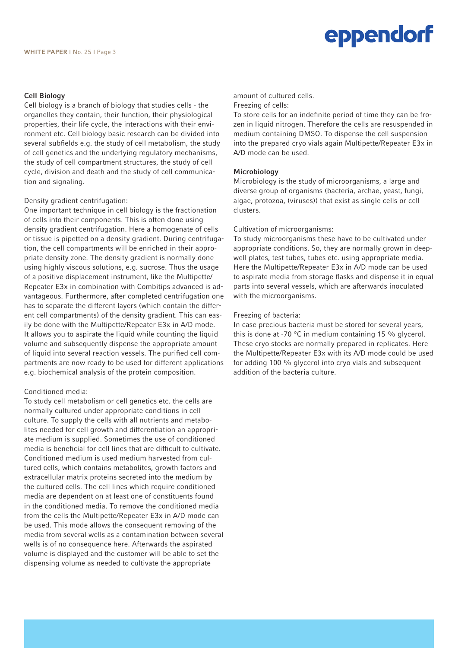# eppendorf

#### Cell Biology

Cell biology is a branch of biology that studies cells - the organelles they contain, their function, their physiological properties, their life cycle, the interactions with their environment etc. Cell biology basic research can be divided into several subfields e.g. the study of cell metabolism, the study of cell genetics and the underlying regulatory mechanisms, the study of cell compartment structures, the study of cell cycle, division and death and the study of cell communication and signaling.

#### Density gradient centrifugation:

One important technique in cell biology is the fractionation of cells into their components. This is often done using density gradient centrifugation. Here a homogenate of cells or tissue is pipetted on a density gradient. During centrifugation, the cell compartments will be enriched in their appropriate density zone. The density gradient is normally done using highly viscous solutions, e.g. sucrose. Thus the usage of a positive displacement instrument, like the Multipette/ Repeater E3x in combination with Combitips advanced is advantageous. Furthermore, after completed centrifugation one has to separate the different layers (which contain the different cell compartments) of the density gradient. This can easily be done with the Multipette/Repeater E3x in A/D mode. It allows you to aspirate the liquid while counting the liquid volume and subsequently dispense the appropriate amount of liquid into several reaction vessels. The purified cell compartments are now ready to be used for different applications e.g. biochemical analysis of the protein composition.

#### Conditioned media:

To study cell metabolism or cell genetics etc. the cells are normally cultured under appropriate conditions in cell culture. To supply the cells with all nutrients and metabolites needed for cell growth and differentiation an appropriate medium is supplied. Sometimes the use of conditioned media is beneficial for cell lines that are difficult to cultivate. Conditioned medium is used medium harvested from cultured cells, which contains metabolites, growth factors and extracellular matrix proteins secreted into the medium by the cultured cells. The cell lines which require conditioned media are dependent on at least one of constituents found in the conditioned media. To remove the conditioned media from the cells the Multipette/Repeater E3x in A/D mode can be used. This mode allows the consequent removing of the media from several wells as a contamination between several wells is of no consequence here. Afterwards the aspirated volume is displayed and the customer will be able to set the dispensing volume as needed to cultivate the appropriate

amount of cultured cells.

#### Freezing of cells:

To store cells for an indefinite period of time they can be frozen in liquid nitrogen. Therefore the cells are resuspended in medium containing DMSO. To dispense the cell suspension into the prepared cryo vials again Multipette/Repeater E3x in A/D mode can be used.

#### Microbiology

Microbiology is the study of microorganisms, a large and diverse group of organisms (bacteria, archae, yeast, fungi, algae, protozoa, (viruses)) that exist as single cells or cell clusters.

#### Cultivation of microorganisms:

To study microorganisms these have to be cultivated under appropriate conditions. So, they are normally grown in deepwell plates, test tubes, tubes etc. using appropriate media. Here the Multipette/Repeater E3x in A/D mode can be used to aspirate media from storage flasks and dispense it in equal parts into several vessels, which are afterwards inoculated with the microorganisms.

#### Freezing of bacteria:

In case precious bacteria must be stored for several years, this is done at -70 °C in medium containing 15 % glycerol. These cryo stocks are normally prepared in replicates. Here the Multipette/Repeater E3x with its A/D mode could be used for adding 100 % glycerol into cryo vials and subsequent addition of the bacteria culture.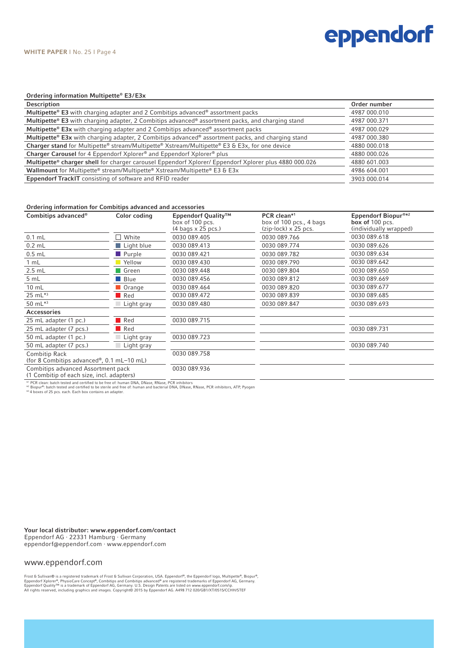# eppendorf

#### Ordering information Multipette® E3 / E3x

| Description                                                                                           | Order number |
|-------------------------------------------------------------------------------------------------------|--------------|
| Multipette® E3 with charging adapter and 2 Combitips advanced® assortment packs                       | 4987 000.010 |
| Multipette® E3 with charging adapter, 2 Combitips advanced® assortment packs, and charging stand      | 4987 000.371 |
| Multipette® E3x with charging adapter and 2 Combitips advanced® assortment packs                      | 4987 000.029 |
| Multipette® E3x with charging adapter, 2 Combitips advanced® assortment packs, and charging stand     | 4987 000.380 |
| Charger stand for Multipette® stream/Multipette® Xstream/Multipette® E3 & E3x, for one device         | 4880 000.018 |
| Charger Carousel for 4 Eppendorf Xplorer® and Eppendorf Xplorer® plus                                 | 4880 000.026 |
| Multipette® charger shell for charger carousel Eppendorf Xplorer/ Eppendorf Xplorer plus 4880 000.026 | 4880 601.003 |
| Wallmount for Multipette® stream/Multipette® Xstream/Multipette® E3 & E3x                             | 4986 604.001 |
| Eppendorf TrackIT consisting of software and RFID reader                                              | 3903 000.014 |
|                                                                                                       |              |

#### Ordering information for Combitips advanced and accessories

| Combitips advanced <sup>®</sup>                                                                                                                              | Color coding        | Eppendorf Quality™<br>box of 100 pcs.<br>$(4 \text{ bags} \times 25 \text{ PCs.})$                                                   | PCR clean*1<br>box of 100 pcs., 4 bags<br>$(zip-lock) \times 25$ pcs. | Eppendorf Biopur®*2<br>box of 100 pcs.<br>(individually wrapped) |
|--------------------------------------------------------------------------------------------------------------------------------------------------------------|---------------------|--------------------------------------------------------------------------------------------------------------------------------------|-----------------------------------------------------------------------|------------------------------------------------------------------|
| $0.1$ mL                                                                                                                                                     | $\Box$ White        | 0030 089.405                                                                                                                         | 0030 089.766                                                          | 0030 089.618                                                     |
| $0.2$ mL                                                                                                                                                     | Light blue          | 0030 089.413                                                                                                                         | 0030 089.774                                                          | 0030 089.626                                                     |
| $0.5$ mL                                                                                                                                                     | <b>Purple</b>       | 0030 089.421                                                                                                                         | 0030 089.782                                                          | 0030 089.634                                                     |
| 1 mL                                                                                                                                                         | Yellow              | 0030 089.430                                                                                                                         | 0030 089.790                                                          | 0030 089.642                                                     |
| $2.5$ mL                                                                                                                                                     | Green               | 0030 089.448                                                                                                                         | 0030 089.804                                                          | 0030 089.650                                                     |
| 5 mL                                                                                                                                                         | $\blacksquare$ Blue | 0030 089.456                                                                                                                         | 0030 089.812                                                          | 0030 089.669                                                     |
| $10 \text{ mL}$                                                                                                                                              | <b>Orange</b>       | 0030 089.464                                                                                                                         | 0030 089.820                                                          | 0030 089.677                                                     |
| 25 mL*3                                                                                                                                                      | $\blacksquare$ Red  | 0030 089.472                                                                                                                         | 0030 089.839                                                          | 0030 089.685                                                     |
| 50 $mL^{*3}$                                                                                                                                                 | Light gray          | 0030 089.480                                                                                                                         | 0030 089.847                                                          | 0030 089.693                                                     |
| Accessories                                                                                                                                                  |                     |                                                                                                                                      |                                                                       |                                                                  |
| 25 mL adapter (1 pc.)                                                                                                                                        | $\blacksquare$ Red  | 0030 089.715                                                                                                                         |                                                                       |                                                                  |
| 25 mL adapter (7 pcs.)                                                                                                                                       | $\blacksquare$ Red  |                                                                                                                                      |                                                                       | 0030 089.731                                                     |
| 50 mL adapter (1 pc.)                                                                                                                                        | Light gray          | 0030 089.723                                                                                                                         |                                                                       |                                                                  |
| 50 mL adapter (7 pcs.)                                                                                                                                       | Light gray          |                                                                                                                                      |                                                                       | 0030 089.740                                                     |
| Combitip Rack<br>(for 8 Combitips advanced®, 0.1 mL-10 mL)                                                                                                   |                     | 0030 089.758                                                                                                                         |                                                                       |                                                                  |
| Combitips advanced Assortment pack<br>(1 Combitip of each size, incl. adapters)                                                                              |                     | 0030 089.936                                                                                                                         |                                                                       |                                                                  |
| *1 PCR clean: batch tested and certified to be free of: human DNA, DNase, RNase, PCR inhibitors<br>*3 4 boxes of 25 pcs. each. Each box contains an adapter. |                     | *2 Biopur®: batch tested and certified to be sterile and free of: human and bacterial DNA, DNase, RNase, PCR inhibitors, ATP, Pyogen |                                                                       |                                                                  |

Your local distributor: www.eppendorf.com/contact Eppendorf AG · 22331 Hamburg · Germany eppendorf@eppendorf.com · www.eppendorf.com

#### www.eppendorf.com

Frost & Sullivan® is a registered trademark of Frost & Sullivan Corporation, USA. Eppendorf®, the Eppendorf logo, Multipette®, Biopur®,<br>Eppendorf Xplore®, PhysioCare Concept®, Combitips and Combitips advanced® are register